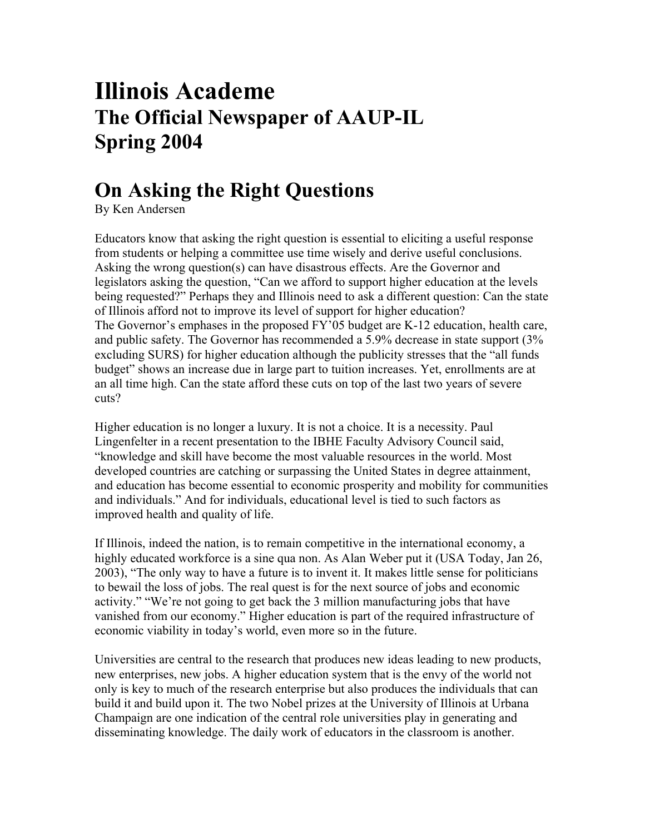## **Illinois Academe The Official Newspaper of AAUP-IL Spring 2004**

## **On Asking the Right Questions**

By Ken Andersen

Educators know that asking the right question is essential to eliciting a useful response from students or helping a committee use time wisely and derive useful conclusions. Asking the wrong question(s) can have disastrous effects. Are the Governor and legislators asking the question, "Can we afford to support higher education at the levels being requested?" Perhaps they and Illinois need to ask a different question: Can the state of Illinois afford not to improve its level of support for higher education? The Governor's emphases in the proposed FY'05 budget are K-12 education, health care, and public safety. The Governor has recommended a 5.9% decrease in state support (3% excluding SURS) for higher education although the publicity stresses that the "all funds budget" shows an increase due in large part to tuition increases. Yet, enrollments are at an all time high. Can the state afford these cuts on top of the last two years of severe cuts?

Higher education is no longer a luxury. It is not a choice. It is a necessity. Paul Lingenfelter in a recent presentation to the IBHE Faculty Advisory Council said, "knowledge and skill have become the most valuable resources in the world. Most developed countries are catching or surpassing the United States in degree attainment, and education has become essential to economic prosperity and mobility for communities and individuals." And for individuals, educational level is tied to such factors as improved health and quality of life.

If Illinois, indeed the nation, is to remain competitive in the international economy, a highly educated workforce is a sine qua non. As Alan Weber put it (USA Today, Jan 26, 2003), "The only way to have a future is to invent it. It makes little sense for politicians to bewail the loss of jobs. The real quest is for the next source of jobs and economic activity." "We're not going to get back the 3 million manufacturing jobs that have vanished from our economy." Higher education is part of the required infrastructure of economic viability in today's world, even more so in the future.

Universities are central to the research that produces new ideas leading to new products, new enterprises, new jobs. A higher education system that is the envy of the world not only is key to much of the research enterprise but also produces the individuals that can build it and build upon it. The two Nobel prizes at the University of Illinois at Urbana Champaign are one indication of the central role universities play in generating and disseminating knowledge. The daily work of educators in the classroom is another.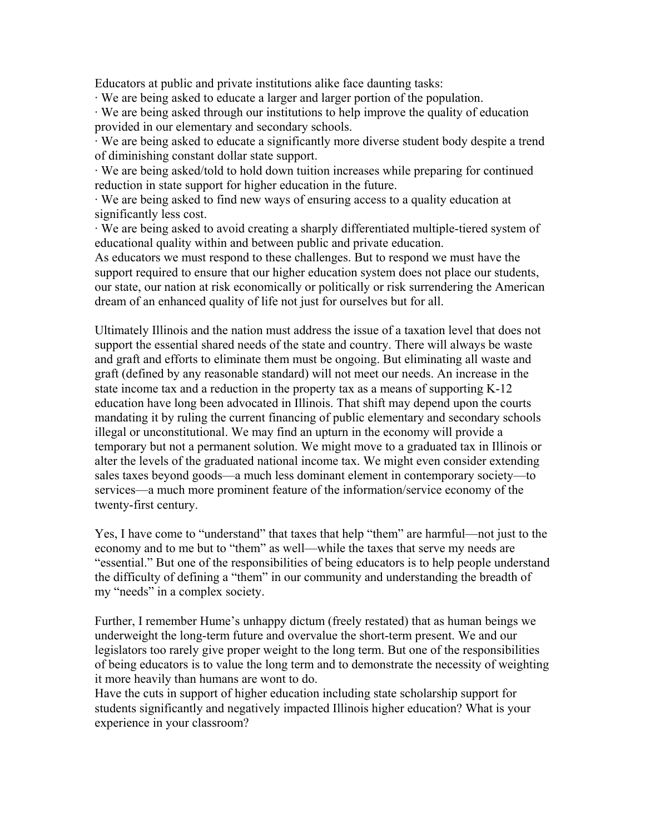Educators at public and private institutions alike face daunting tasks:

· We are being asked to educate a larger and larger portion of the population.

· We are being asked through our institutions to help improve the quality of education provided in our elementary and secondary schools.

· We are being asked to educate a significantly more diverse student body despite a trend of diminishing constant dollar state support.

· We are being asked/told to hold down tuition increases while preparing for continued reduction in state support for higher education in the future.

· We are being asked to find new ways of ensuring access to a quality education at significantly less cost.

· We are being asked to avoid creating a sharply differentiated multiple-tiered system of educational quality within and between public and private education.

As educators we must respond to these challenges. But to respond we must have the support required to ensure that our higher education system does not place our students, our state, our nation at risk economically or politically or risk surrendering the American dream of an enhanced quality of life not just for ourselves but for all.

Ultimately Illinois and the nation must address the issue of a taxation level that does not support the essential shared needs of the state and country. There will always be waste and graft and efforts to eliminate them must be ongoing. But eliminating all waste and graft (defined by any reasonable standard) will not meet our needs. An increase in the state income tax and a reduction in the property tax as a means of supporting K-12 education have long been advocated in Illinois. That shift may depend upon the courts mandating it by ruling the current financing of public elementary and secondary schools illegal or unconstitutional. We may find an upturn in the economy will provide a temporary but not a permanent solution. We might move to a graduated tax in Illinois or alter the levels of the graduated national income tax. We might even consider extending sales taxes beyond goods—a much less dominant element in contemporary society—to services—a much more prominent feature of the information/service economy of the twenty-first century.

Yes, I have come to "understand" that taxes that help "them" are harmful—not just to the economy and to me but to "them" as well—while the taxes that serve my needs are "essential." But one of the responsibilities of being educators is to help people understand the difficulty of defining a "them" in our community and understanding the breadth of my "needs" in a complex society.

Further, I remember Hume's unhappy dictum (freely restated) that as human beings we underweight the long-term future and overvalue the short-term present. We and our legislators too rarely give proper weight to the long term. But one of the responsibilities of being educators is to value the long term and to demonstrate the necessity of weighting it more heavily than humans are wont to do.

Have the cuts in support of higher education including state scholarship support for students significantly and negatively impacted Illinois higher education? What is your experience in your classroom?